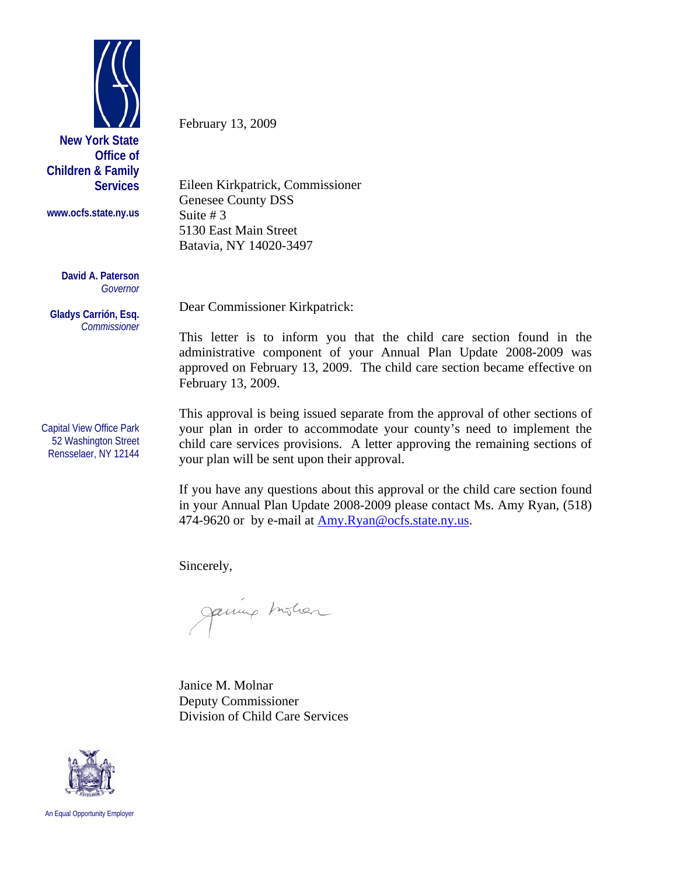

**Children & Family Services** 

**www.ocfs.state.ny.us** 

**David A. Paterson**  *Governor* 

**Gladys Carrión, Esq.**  *Commissioner* 

Capital View Office Park 52 Washington Street Rensselaer, NY 12144

February 13, 2009

Eileen Kirkpatrick, Commissioner Genesee County DSS Suite # 3 5130 East Main Street Batavia, NY 14020-3497

Dear Commissioner Kirkpatrick:

This letter is to inform you that the child care section found in the administrative component of your Annual Plan Update 2008-2009 was approved on February 13, 2009. The child care section became effective on February 13, 2009.

This approval is being issued separate from the approval of other sections of your plan in order to accommodate your county's need to implement the child care services provisions. A letter approving the remaining sections of your plan will be sent upon their approval.

If you have any questions about this approval or the child care section found in your Annual Plan Update 2008-2009 please contact Ms. Amy Ryan, (518) 474-9620 or by e-mail at [Amy.Ryan@ocfs.state.ny.us](mailto:Amy.Ryan@ocfs.state.ny.us).

Sincerely,

Janung Instian

Janice M. Molnar Deputy Commissioner Division of Child Care Services



An Equal Opportunity Employer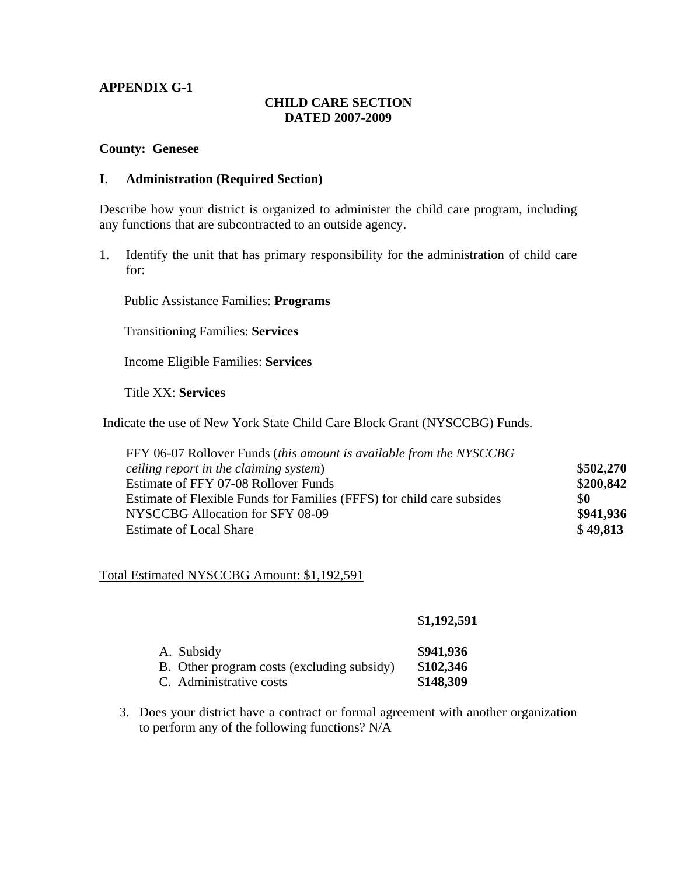## **APPENDIX G-1**

## **CHILD CARE SECTION DATED 2007-2009**

#### **County: Genesee**

#### **I**. **Administration (Required Section)**

Describe how your district is organized to administer the child care program, including any functions that are subcontracted to an outside agency.

1. Identify the unit that has primary responsibility for the administration of child care for:

Public Assistance Families: **Programs**

Transitioning Families: **Services**

Income Eligible Families: **Services**

Title XX: **Services**

Indicate the use of New York State Child Care Block Grant (NYSCCBG) Funds.

| FFY 06-07 Rollover Funds (this amount is available from the NYSCCBG    |           |
|------------------------------------------------------------------------|-----------|
| ceiling report in the claiming system)                                 | \$502,270 |
| Estimate of FFY 07-08 Rollover Funds                                   | \$200,842 |
| Estimate of Flexible Funds for Families (FFFS) for child care subsides | \$0       |
| NYSCCBG Allocation for SFY 08-09                                       | \$941,936 |
| <b>Estimate of Local Share</b>                                         | \$49,813  |

### Total Estimated NYSCCBG Amount: \$1,192,591

|  | \$1,192,591 |  |
|--|-------------|--|
|--|-------------|--|

| A. Subsidy                                 | \$941,936 |
|--------------------------------------------|-----------|
| B. Other program costs (excluding subsidy) | \$102,346 |
| C. Administrative costs                    | \$148,309 |

3. Does your district have a contract or formal agreement with another organization to perform any of the following functions? N/A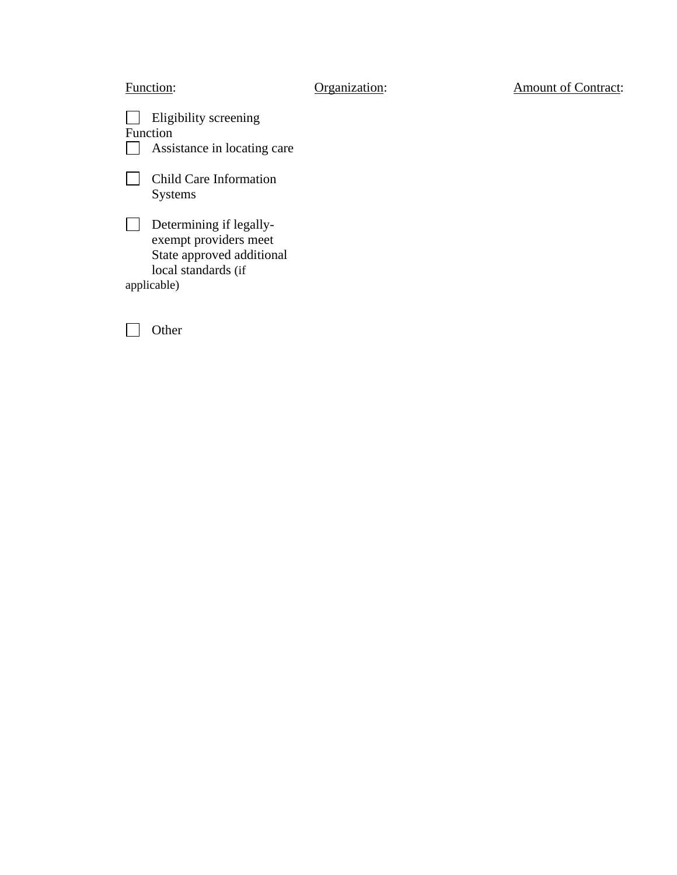| Function:                                                                                                           | Organization: | <b>Amount of Contract:</b> |
|---------------------------------------------------------------------------------------------------------------------|---------------|----------------------------|
| Eligibility screening<br>Function<br>Assistance in locating care                                                    |               |                            |
| <b>Child Care Information</b><br><b>Systems</b>                                                                     |               |                            |
| Determining if legally-<br>exempt providers meet<br>State approved additional<br>local standards (if<br>applicable) |               |                            |
| Other                                                                                                               |               |                            |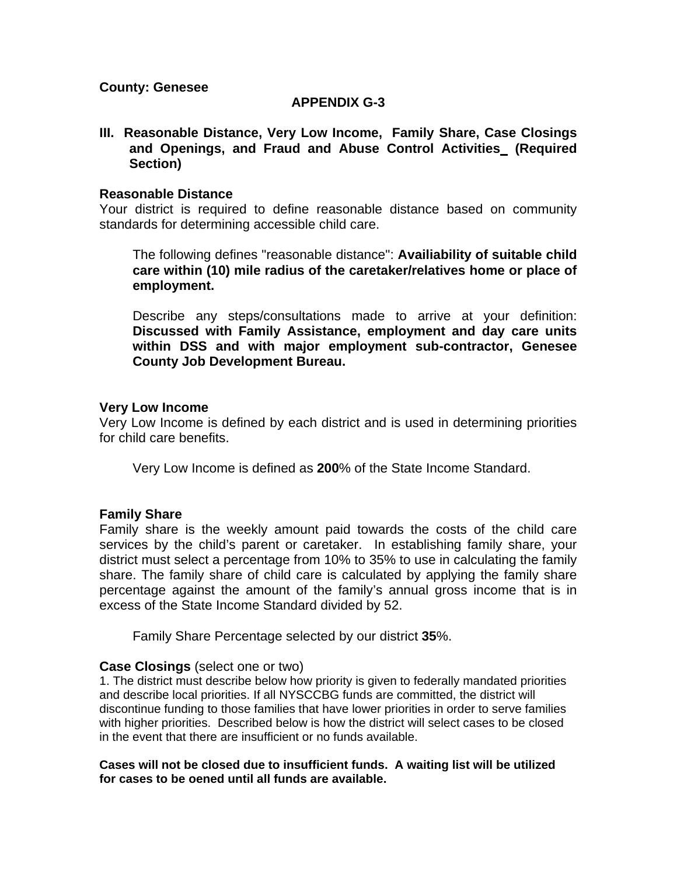**County: Genesee** 

# **APPENDIX G-3**

**III. Reasonable Distance, Very Low Income, Family Share, Case Closings and Openings, and Fraud and Abuse Control Activities (Required Section)** 

## **Reasonable Distance**

Your district is required to define reasonable distance based on community standards for determining accessible child care.

 The following defines "reasonable distance": **Availiability of suitable child care within (10) mile radius of the caretaker/relatives home or place of employment.** 

 Describe any steps/consultations made to arrive at your definition: **Discussed with Family Assistance, employment and day care units within DSS and with major employment sub-contractor, Genesee County Job Development Bureau.** 

## **Very Low Income**

Very Low Income is defined by each district and is used in determining priorities for child care benefits.

Very Low Income is defined as **200**% of the State Income Standard.

# **Family Share**

Family share is the weekly amount paid towards the costs of the child care services by the child's parent or caretaker. In establishing family share, your district must select a percentage from 10% to 35% to use in calculating the family share. The family share of child care is calculated by applying the family share percentage against the amount of the family's annual gross income that is in excess of the State Income Standard divided by 52.

Family Share Percentage selected by our district **35**%.

### **Case Closings** (select one or two)

1. The district must describe below how priority is given to federally mandated priorities and describe local priorities. If all NYSCCBG funds are committed, the district will discontinue funding to those families that have lower priorities in order to serve families with higher priorities. Described below is how the district will select cases to be closed in the event that there are insufficient or no funds available.

**Cases will not be closed due to insufficient funds. A waiting list will be utilized for cases to be oened until all funds are available.**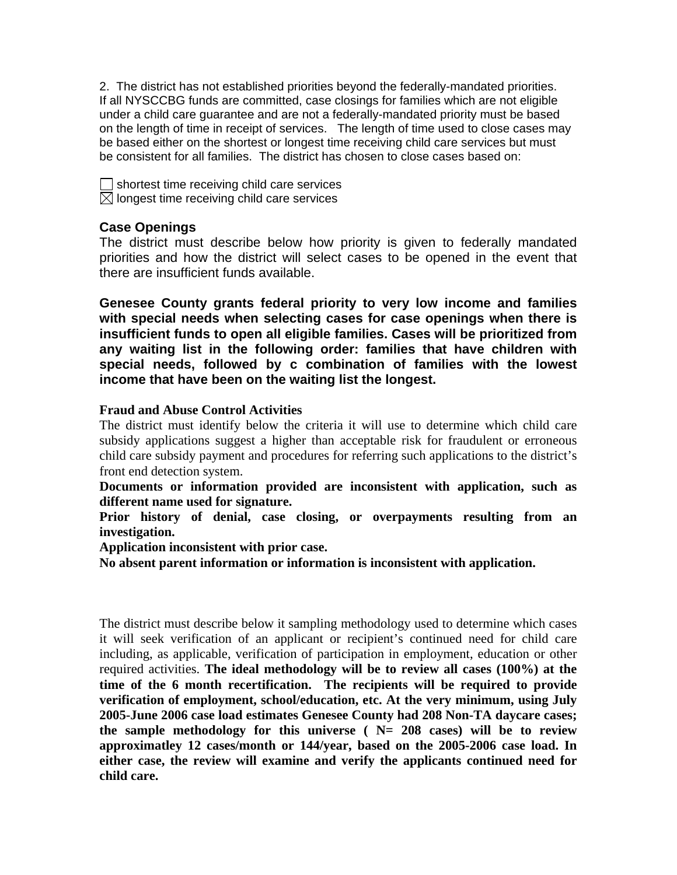2. The district has not established priorities beyond the federally-mandated priorities. If all NYSCCBG funds are committed, case closings for families which are not eligible under a child care guarantee and are not a federally-mandated priority must be based on the length of time in receipt of services. The length of time used to close cases may be based either on the shortest or longest time receiving child care services but must be consistent for all families. The district has chosen to close cases based on:

| $\Box$ shortest time receiving child care services     |
|--------------------------------------------------------|
| $\boxtimes$ longest time receiving child care services |

# **Case Openings**

The district must describe below how priority is given to federally mandated priorities and how the district will select cases to be opened in the event that there are insufficient funds available.

**Genesee County grants federal priority to very low income and families with special needs when selecting cases for case openings when there is insufficient funds to open all eligible families. Cases will be prioritized from any waiting list in the following order: families that have children with special needs, followed by c combination of families with the lowest income that have been on the waiting list the longest.** 

### **Fraud and Abuse Control Activities**

The district must identify below the criteria it will use to determine which child care subsidy applications suggest a higher than acceptable risk for fraudulent or erroneous child care subsidy payment and procedures for referring such applications to the district's front end detection system.

**Documents or information provided are inconsistent with application, such as different name used for signature.** 

**Prior history of denial, case closing, or overpayments resulting from an investigation.** 

**Application inconsistent with prior case.** 

**No absent parent information or information is inconsistent with application.** 

The district must describe below it sampling methodology used to determine which cases it will seek verification of an applicant or recipient's continued need for child care including, as applicable, verification of participation in employment, education or other required activities. **The ideal methodology will be to review all cases (100%) at the time of the 6 month recertification. The recipients will be required to provide verification of employment, school/education, etc. At the very minimum, using July 2005-June 2006 case load estimates Genesee County had 208 Non-TA daycare cases; the sample methodology for this universe ( N= 208 cases) will be to review approximatley 12 cases/month or 144/year, based on the 2005-2006 case load. In either case, the review will examine and verify the applicants continued need for child care.**